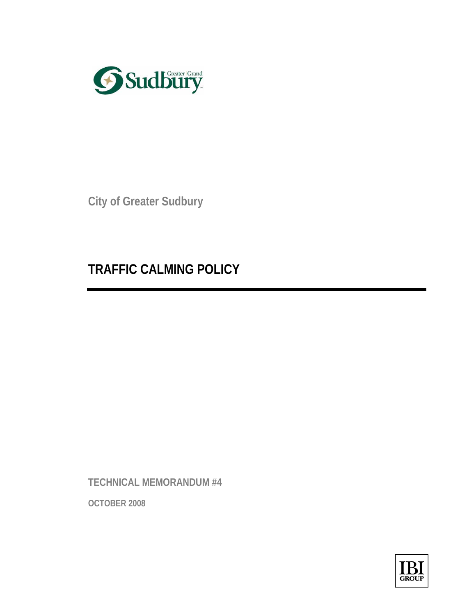

**City of Greater Sudbury** 

# **TRAFFIC CALMING POLICY**

**TECHNICAL MEMORANDUM #4** 

**OCTOBER 2008**

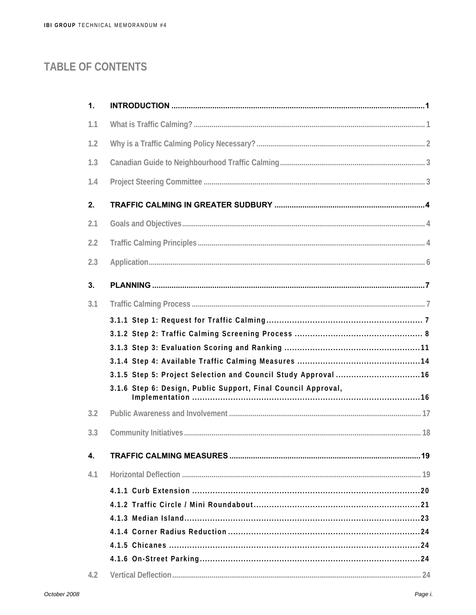# **TABLE OF CONTENTS**

| 1.  |                                                               |  |
|-----|---------------------------------------------------------------|--|
| 1.1 |                                                               |  |
| 1.2 |                                                               |  |
| 1.3 |                                                               |  |
| 1.4 |                                                               |  |
| 2.  |                                                               |  |
| 2.1 |                                                               |  |
| 2.2 |                                                               |  |
| 2.3 |                                                               |  |
| 3.  |                                                               |  |
| 3.1 |                                                               |  |
|     |                                                               |  |
|     |                                                               |  |
|     |                                                               |  |
|     |                                                               |  |
|     | 3.1.5 Step 5: Project Selection and Council Study Approval 16 |  |
|     | 3.1.6 Step 6: Design, Public Support, Final Council Approval, |  |
| 3.2 |                                                               |  |
| 3.3 |                                                               |  |
| 4.  |                                                               |  |
| 4.1 |                                                               |  |
|     |                                                               |  |
|     |                                                               |  |
|     |                                                               |  |
|     |                                                               |  |
|     |                                                               |  |
|     |                                                               |  |
| 4.2 |                                                               |  |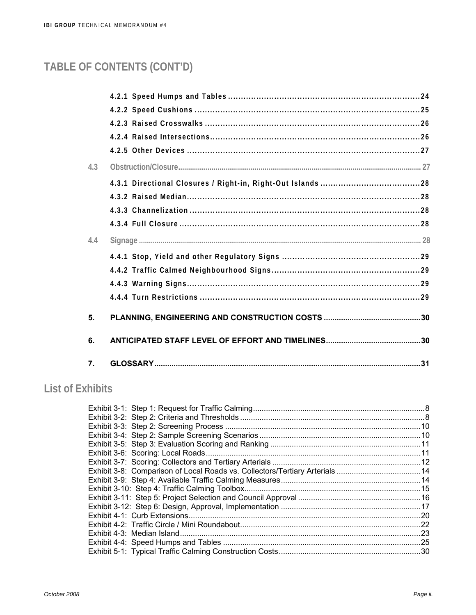# TABLE OF CONTENTS (CONT'D)

| 4.3 |  |
|-----|--|
|     |  |
|     |  |
|     |  |
|     |  |
| 4.4 |  |
|     |  |
|     |  |
|     |  |
|     |  |
| 5.  |  |
| 6.  |  |
| 7.  |  |

# **List of Exhibits**

| Exhibit 3-8: Comparison of Local Roads vs. Collectors/Tertiary Arterials  14 |  |
|------------------------------------------------------------------------------|--|
|                                                                              |  |
|                                                                              |  |
|                                                                              |  |
|                                                                              |  |
|                                                                              |  |
|                                                                              |  |
|                                                                              |  |
|                                                                              |  |
|                                                                              |  |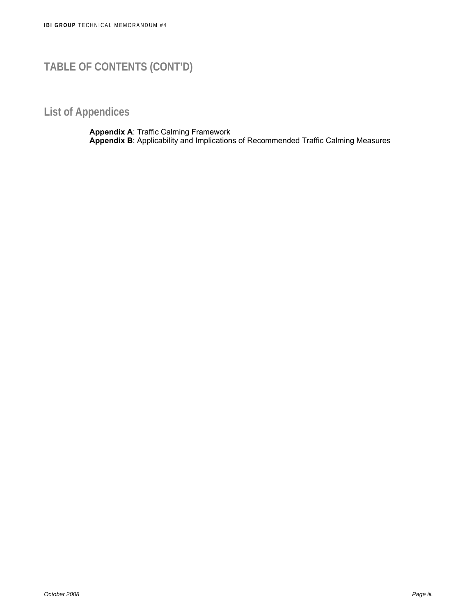# **TABLE OF CONTENTS (CONT'D)**

# **List of Appendices**

**Appendix A**: Traffic Calming Framework **Appendix B**: Applicability and Implications of Recommended Traffic Calming Measures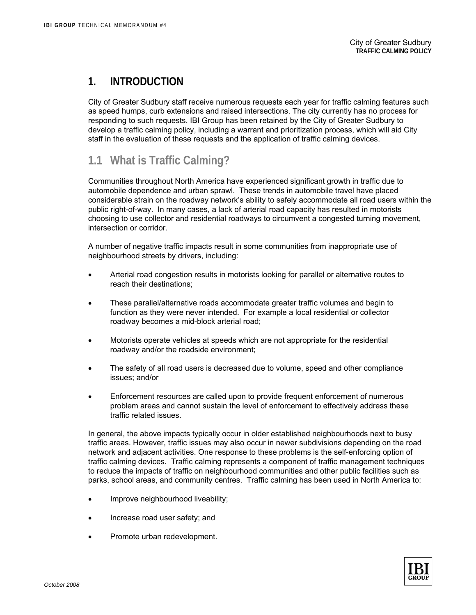### **1. INTRODUCTION**

City of Greater Sudbury staff receive numerous requests each year for traffic calming features such as speed humps, curb extensions and raised intersections. The city currently has no process for responding to such requests. IBI Group has been retained by the City of Greater Sudbury to develop a traffic calming policy, including a warrant and prioritization process, which will aid City staff in the evaluation of these requests and the application of traffic calming devices.

# **1.1 What is Traffic Calming?**

Communities throughout North America have experienced significant growth in traffic due to automobile dependence and urban sprawl. These trends in automobile travel have placed considerable strain on the roadway network's ability to safely accommodate all road users within the public right-of-way. In many cases, a lack of arterial road capacity has resulted in motorists choosing to use collector and residential roadways to circumvent a congested turning movement, intersection or corridor.

A number of negative traffic impacts result in some communities from inappropriate use of neighbourhood streets by drivers, including:

- Arterial road congestion results in motorists looking for parallel or alternative routes to reach their destinations;
- These parallel/alternative roads accommodate greater traffic volumes and begin to function as they were never intended. For example a local residential or collector roadway becomes a mid-block arterial road;
- Motorists operate vehicles at speeds which are not appropriate for the residential roadway and/or the roadside environment;
- The safety of all road users is decreased due to volume, speed and other compliance issues; and/or
- Enforcement resources are called upon to provide frequent enforcement of numerous problem areas and cannot sustain the level of enforcement to effectively address these traffic related issues.

In general, the above impacts typically occur in older established neighbourhoods next to busy traffic areas. However, traffic issues may also occur in newer subdivisions depending on the road network and adjacent activities. One response to these problems is the self-enforcing option of traffic calming devices. Traffic calming represents a component of traffic management techniques to reduce the impacts of traffic on neighbourhood communities and other public facilities such as parks, school areas, and community centres. Traffic calming has been used in North America to:

- Improve neighbourhood liveability;
- Increase road user safety; and
- Promote urban redevelopment.

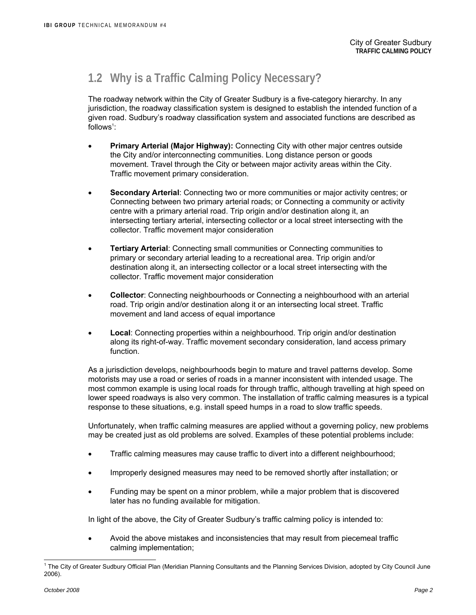# **1.2 Why is a Traffic Calming Policy Necessary?**

The roadway network within the City of Greater Sudbury is a five-category hierarchy. In any jurisdiction, the roadway classification system is designed to establish the intended function of a given road. Sudbury's roadway classification system and associated functions are described as follows<sup>1</sup>:

- **Primary Arterial (Major Highway):** Connecting City with other major centres outside the City and/or interconnecting communities. Long distance person or goods movement. Travel through the City or between major activity areas within the City. Traffic movement primary consideration.
- **Secondary Arterial**: Connecting two or more communities or major activity centres; or Connecting between two primary arterial roads; or Connecting a community or activity centre with a primary arterial road. Trip origin and/or destination along it, an intersecting tertiary arterial, intersecting collector or a local street intersecting with the collector. Traffic movement major consideration
- **Tertiary Arterial**: Connecting small communities or Connecting communities to primary or secondary arterial leading to a recreational area. Trip origin and/or destination along it, an intersecting collector or a local street intersecting with the collector. Traffic movement major consideration
- **Collector**: Connecting neighbourhoods or Connecting a neighbourhood with an arterial road. Trip origin and/or destination along it or an intersecting local street. Traffic movement and land access of equal importance
- **Local**: Connecting properties within a neighbourhood. Trip origin and/or destination along its right-of-way. Traffic movement secondary consideration, land access primary function.

As a jurisdiction develops, neighbourhoods begin to mature and travel patterns develop. Some motorists may use a road or series of roads in a manner inconsistent with intended usage. The most common example is using local roads for through traffic, although travelling at high speed on lower speed roadways is also very common. The installation of traffic calming measures is a typical response to these situations, e.g. install speed humps in a road to slow traffic speeds.

Unfortunately, when traffic calming measures are applied without a governing policy, new problems may be created just as old problems are solved. Examples of these potential problems include:

- Traffic calming measures may cause traffic to divert into a different neighbourhood;
- Improperly designed measures may need to be removed shortly after installation; or
- Funding may be spent on a minor problem, while a major problem that is discovered later has no funding available for mitigation.

In light of the above, the City of Greater Sudbury's traffic calming policy is intended to:

• Avoid the above mistakes and inconsistencies that may result from piecemeal traffic calming implementation;

l <sup>1</sup> The City of Greater Sudbury Official Plan (Meridian Planning Consultants and the Planning Services Division, adopted by City Council June 2006).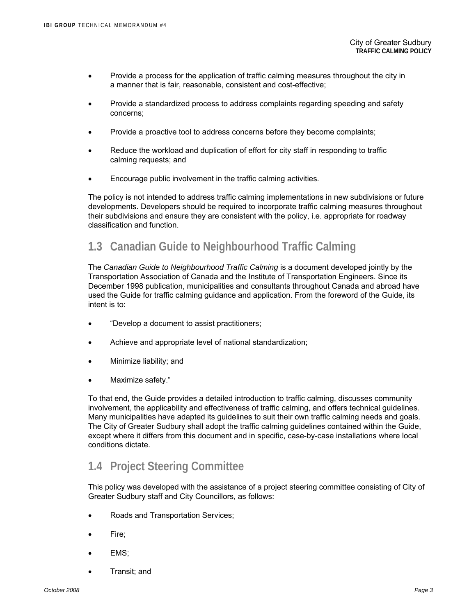- Provide a process for the application of traffic calming measures throughout the city in a manner that is fair, reasonable, consistent and cost-effective;
- Provide a standardized process to address complaints regarding speeding and safety concerns;
- Provide a proactive tool to address concerns before they become complaints;
- Reduce the workload and duplication of effort for city staff in responding to traffic calming requests; and
- Encourage public involvement in the traffic calming activities.

The policy is not intended to address traffic calming implementations in new subdivisions or future developments. Developers should be required to incorporate traffic calming measures throughout their subdivisions and ensure they are consistent with the policy, i.e. appropriate for roadway classification and function.

### **1.3 Canadian Guide to Neighbourhood Traffic Calming**

The *Canadian Guide to Neighbourhood Traffic Calming* is a document developed jointly by the Transportation Association of Canada and the Institute of Transportation Engineers. Since its December 1998 publication, municipalities and consultants throughout Canada and abroad have used the Guide for traffic calming guidance and application. From the foreword of the Guide, its intent is to:

- "Develop a document to assist practitioners;
- Achieve and appropriate level of national standardization;
- Minimize liability; and
- Maximize safety."

To that end, the Guide provides a detailed introduction to traffic calming, discusses community involvement, the applicability and effectiveness of traffic calming, and offers technical guidelines. Many municipalities have adapted its guidelines to suit their own traffic calming needs and goals. The City of Greater Sudbury shall adopt the traffic calming guidelines contained within the Guide, except where it differs from this document and in specific, case-by-case installations where local conditions dictate.

### **1.4 Project Steering Committee**

This policy was developed with the assistance of a project steering committee consisting of City of Greater Sudbury staff and City Councillors, as follows:

- Roads and Transportation Services;
- Fire;
- EMS:
- Transit; and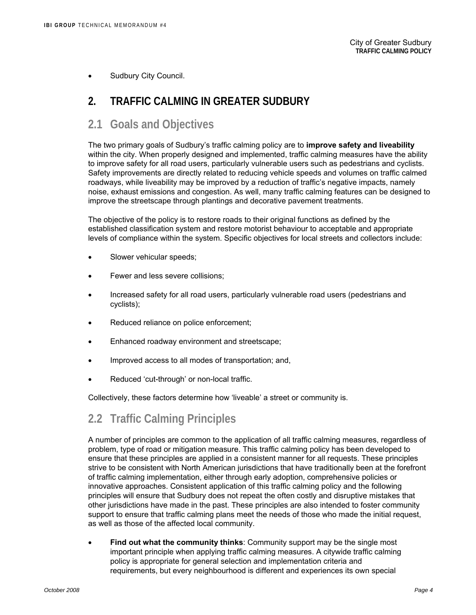Sudbury City Council.

### **2. TRAFFIC CALMING IN GREATER SUDBURY**

### **2.1 Goals and Objectives**

The two primary goals of Sudbury's traffic calming policy are to **improve safety and liveability**  within the city. When properly designed and implemented, traffic calming measures have the ability to improve safety for all road users, particularly vulnerable users such as pedestrians and cyclists. Safety improvements are directly related to reducing vehicle speeds and volumes on traffic calmed roadways, while liveability may be improved by a reduction of traffic's negative impacts, namely noise, exhaust emissions and congestion. As well, many traffic calming features can be designed to improve the streetscape through plantings and decorative pavement treatments.

The objective of the policy is to restore roads to their original functions as defined by the established classification system and restore motorist behaviour to acceptable and appropriate levels of compliance within the system. Specific objectives for local streets and collectors include:

- Slower vehicular speeds;
- Fewer and less severe collisions;
- Increased safety for all road users, particularly vulnerable road users (pedestrians and cyclists);
- Reduced reliance on police enforcement;
- Enhanced roadway environment and streetscape;
- Improved access to all modes of transportation; and,
- Reduced 'cut-through' or non-local traffic.

Collectively, these factors determine how 'liveable' a street or community is.

# **2.2 Traffic Calming Principles**

A number of principles are common to the application of all traffic calming measures, regardless of problem, type of road or mitigation measure. This traffic calming policy has been developed to ensure that these principles are applied in a consistent manner for all requests. These principles strive to be consistent with North American jurisdictions that have traditionally been at the forefront of traffic calming implementation, either through early adoption, comprehensive policies or innovative approaches. Consistent application of this traffic calming policy and the following principles will ensure that Sudbury does not repeat the often costly and disruptive mistakes that other jurisdictions have made in the past. These principles are also intended to foster community support to ensure that traffic calming plans meet the needs of those who made the initial request, as well as those of the affected local community.

• **Find out what the community thinks**: Community support may be the single most important principle when applying traffic calming measures. A citywide traffic calming policy is appropriate for general selection and implementation criteria and requirements, but every neighbourhood is different and experiences its own special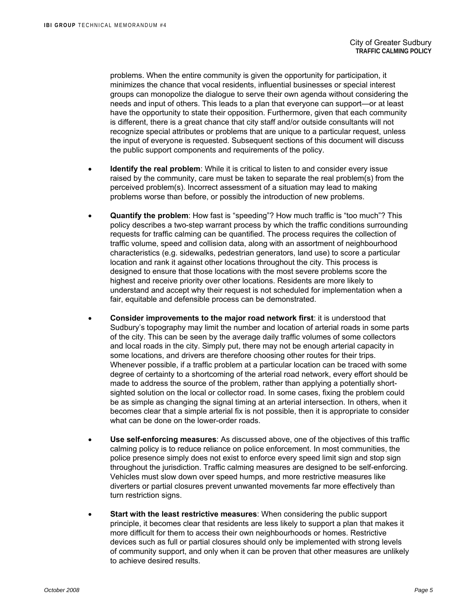problems. When the entire community is given the opportunity for participation, it minimizes the chance that vocal residents, influential businesses or special interest groups can monopolize the dialogue to serve their own agenda without considering the needs and input of others. This leads to a plan that everyone can support—or at least have the opportunity to state their opposition. Furthermore, given that each community is different, there is a great chance that city staff and/or outside consultants will not recognize special attributes or problems that are unique to a particular request, unless the input of everyone is requested. Subsequent sections of this document will discuss the public support components and requirements of the policy.

- **Identify the real problem**: While it is critical to listen to and consider every issue raised by the community, care must be taken to separate the real problem(s) from the perceived problem(s). Incorrect assessment of a situation may lead to making problems worse than before, or possibly the introduction of new problems.
- **Quantify the problem**: How fast is "speeding"? How much traffic is "too much"? This policy describes a two-step warrant process by which the traffic conditions surrounding requests for traffic calming can be quantified. The process requires the collection of traffic volume, speed and collision data, along with an assortment of neighbourhood characteristics (e.g. sidewalks, pedestrian generators, land use) to score a particular location and rank it against other locations throughout the city. This process is designed to ensure that those locations with the most severe problems score the highest and receive priority over other locations. Residents are more likely to understand and accept why their request is not scheduled for implementation when a fair, equitable and defensible process can be demonstrated.
- **Consider improvements to the major road network first**: it is understood that Sudbury's topography may limit the number and location of arterial roads in some parts of the city. This can be seen by the average daily traffic volumes of some collectors and local roads in the city. Simply put, there may not be enough arterial capacity in some locations, and drivers are therefore choosing other routes for their trips. Whenever possible, if a traffic problem at a particular location can be traced with some degree of certainty to a shortcoming of the arterial road network, every effort should be made to address the source of the problem, rather than applying a potentially shortsighted solution on the local or collector road. In some cases, fixing the problem could be as simple as changing the signal timing at an arterial intersection. In others, when it becomes clear that a simple arterial fix is not possible, then it is appropriate to consider what can be done on the lower-order roads.
- **Use self-enforcing measures**: As discussed above, one of the objectives of this traffic calming policy is to reduce reliance on police enforcement. In most communities, the police presence simply does not exist to enforce every speed limit sign and stop sign throughout the jurisdiction. Traffic calming measures are designed to be self-enforcing. Vehicles must slow down over speed humps, and more restrictive measures like diverters or partial closures prevent unwanted movements far more effectively than turn restriction signs.
- **Start with the least restrictive measures**: When considering the public support principle, it becomes clear that residents are less likely to support a plan that makes it more difficult for them to access their own neighbourhoods or homes. Restrictive devices such as full or partial closures should only be implemented with strong levels of community support, and only when it can be proven that other measures are unlikely to achieve desired results.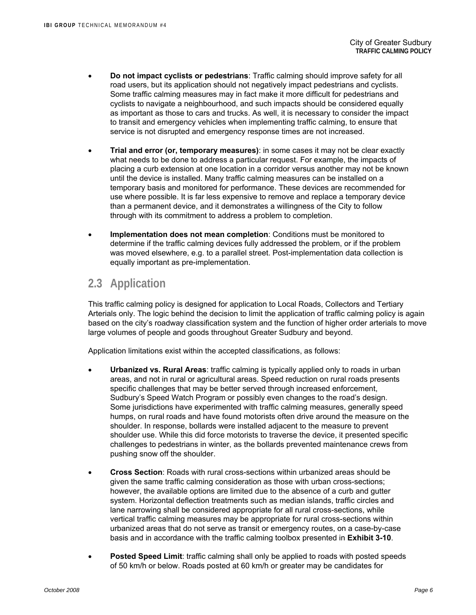- **Do not impact cyclists or pedestrians**: Traffic calming should improve safety for all road users, but its application should not negatively impact pedestrians and cyclists. Some traffic calming measures may in fact make it more difficult for pedestrians and cyclists to navigate a neighbourhood, and such impacts should be considered equally as important as those to cars and trucks. As well, it is necessary to consider the impact to transit and emergency vehicles when implementing traffic calming, to ensure that service is not disrupted and emergency response times are not increased.
- **Trial and error (or, temporary measures)**: in some cases it may not be clear exactly what needs to be done to address a particular request. For example, the impacts of placing a curb extension at one location in a corridor versus another may not be known until the device is installed. Many traffic calming measures can be installed on a temporary basis and monitored for performance. These devices are recommended for use where possible. It is far less expensive to remove and replace a temporary device than a permanent device, and it demonstrates a willingness of the City to follow through with its commitment to address a problem to completion.
- **Implementation does not mean completion**: Conditions must be monitored to determine if the traffic calming devices fully addressed the problem, or if the problem was moved elsewhere, e.g. to a parallel street. Post-implementation data collection is equally important as pre-implementation.

## **2.3 Application**

This traffic calming policy is designed for application to Local Roads, Collectors and Tertiary Arterials only. The logic behind the decision to limit the application of traffic calming policy is again based on the city's roadway classification system and the function of higher order arterials to move large volumes of people and goods throughout Greater Sudbury and beyond.

Application limitations exist within the accepted classifications, as follows:

- **Urbanized vs. Rural Areas**: traffic calming is typically applied only to roads in urban areas, and not in rural or agricultural areas. Speed reduction on rural roads presents specific challenges that may be better served through increased enforcement, Sudbury's Speed Watch Program or possibly even changes to the road's design. Some jurisdictions have experimented with traffic calming measures, generally speed humps, on rural roads and have found motorists often drive around the measure on the shoulder. In response, bollards were installed adjacent to the measure to prevent shoulder use. While this did force motorists to traverse the device, it presented specific challenges to pedestrians in winter, as the bollards prevented maintenance crews from pushing snow off the shoulder.
- **Cross Section**: Roads with rural cross-sections within urbanized areas should be given the same traffic calming consideration as those with urban cross-sections; however, the available options are limited due to the absence of a curb and gutter system. Horizontal deflection treatments such as median islands, traffic circles and lane narrowing shall be considered appropriate for all rural cross-sections, while vertical traffic calming measures may be appropriate for rural cross-sections within urbanized areas that do not serve as transit or emergency routes, on a case-by-case basis and in accordance with the traffic calming toolbox presented in **Exhibit 3-10**.
- **Posted Speed Limit**: traffic calming shall only be applied to roads with posted speeds of 50 km/h or below. Roads posted at 60 km/h or greater may be candidates for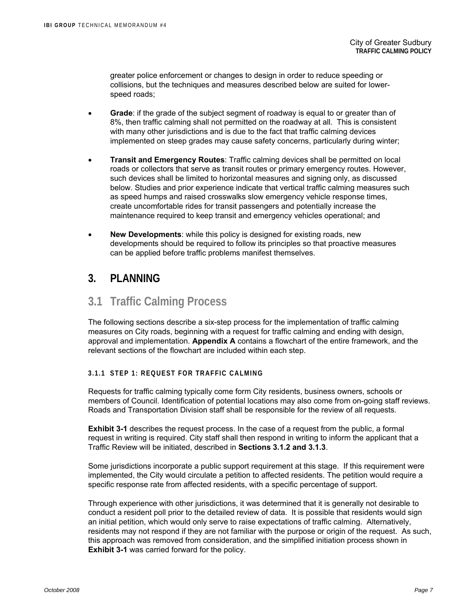greater police enforcement or changes to design in order to reduce speeding or collisions, but the techniques and measures described below are suited for lowerspeed roads;

- **Grade**: if the grade of the subject segment of roadway is equal to or greater than of 8%, then traffic calming shall not permitted on the roadway at all. This is consistent with many other jurisdictions and is due to the fact that traffic calming devices implemented on steep grades may cause safety concerns, particularly during winter;
- **Transit and Emergency Routes**: Traffic calming devices shall be permitted on local roads or collectors that serve as transit routes or primary emergency routes. However, such devices shall be limited to horizontal measures and signing only, as discussed below. Studies and prior experience indicate that vertical traffic calming measures such as speed humps and raised crosswalks slow emergency vehicle response times, create uncomfortable rides for transit passengers and potentially increase the maintenance required to keep transit and emergency vehicles operational; and
- **New Developments**: while this policy is designed for existing roads, new developments should be required to follow its principles so that proactive measures can be applied before traffic problems manifest themselves.

### **3. PLANNING**

### **3.1 Traffic Calming Process**

The following sections describe a six-step process for the implementation of traffic calming measures on City roads, beginning with a request for traffic calming and ending with design, approval and implementation. **Appendix A** contains a flowchart of the entire framework, and the relevant sections of the flowchart are included within each step.

### **3.1.1 STEP 1: REQUEST FOR TRAFFIC CALMING**

Requests for traffic calming typically come form City residents, business owners, schools or members of Council. Identification of potential locations may also come from on-going staff reviews. Roads and Transportation Division staff shall be responsible for the review of all requests.

**Exhibit 3-1** describes the request process. In the case of a request from the public, a formal request in writing is required. City staff shall then respond in writing to inform the applicant that a Traffic Review will be initiated, described in **Sections 3.1.2 and 3.1.3**.

Some jurisdictions incorporate a public support requirement at this stage. If this requirement were implemented, the City would circulate a petition to affected residents. The petition would require a specific response rate from affected residents, with a specific percentage of support.

Through experience with other jurisdictions, it was determined that it is generally not desirable to conduct a resident poll prior to the detailed review of data. It is possible that residents would sign an initial petition, which would only serve to raise expectations of traffic calming. Alternatively, residents may not respond if they are not familiar with the purpose or origin of the request. As such, this approach was removed from consideration, and the simplified initiation process shown in **Exhibit 3-1** was carried forward for the policy.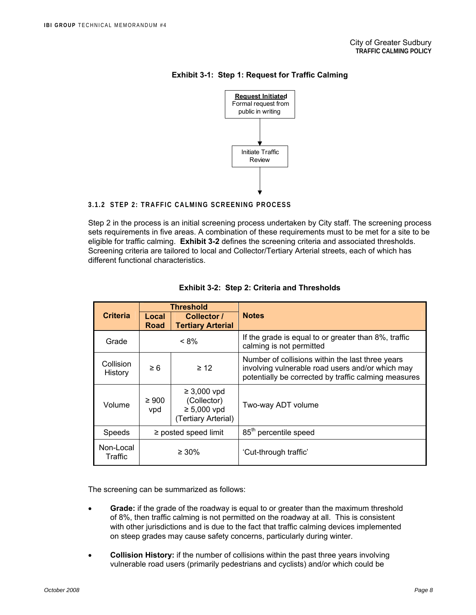

#### **Exhibit 3-1: Step 1: Request for Traffic Calming**

#### **3.1.2 STEP 2: TRAFFIC CALMING SCREENING PROCESS**

Step 2 in the process is an initial screening process undertaken by City staff. The screening process sets requirements in five areas. A combination of these requirements must to be met for a site to be eligible for traffic calming. **Exhibit 3-2** defines the screening criteria and associated thresholds. Screening criteria are tailored to local and Collector/Tertiary Arterial streets, each of which has different functional characteristics.

| <b>Criteria</b>      | <b>Threshold</b><br>Local<br>Collector /<br><b>Tertiary Arterial</b><br><b>Road</b> |                                                                                             | <b>Notes</b>                                                                                                                                                 |  |  |  |  |
|----------------------|-------------------------------------------------------------------------------------|---------------------------------------------------------------------------------------------|--------------------------------------------------------------------------------------------------------------------------------------------------------------|--|--|--|--|
| Grade                |                                                                                     | If the grade is equal to or greater than 8%, traffic<br>$< 8\%$<br>calming is not permitted |                                                                                                                                                              |  |  |  |  |
| Collision<br>History | $\geq 12$<br>$\geq 6$                                                               |                                                                                             | Number of collisions within the last three years<br>involving vulnerable road users and/or which may<br>potentially be corrected by traffic calming measures |  |  |  |  |
| Volume               | $\geq 900$<br>vpd                                                                   | $\geq 3,000$ vpd<br>(Collector)<br>$\geq 5,000$ vpd<br>(Tertiary Arterial)                  | Two-way ADT volume                                                                                                                                           |  |  |  |  |
| Speeds               | $\ge$ posted speed limit                                                            |                                                                                             | 85 <sup>th</sup> percentile speed                                                                                                                            |  |  |  |  |
| Non-Local<br>Traffic | $\geq 30\%$                                                                         |                                                                                             | 'Cut-through traffic'                                                                                                                                        |  |  |  |  |

| <b>Exhibit 3-2: Step 2: Criteria and Thresholds</b> |
|-----------------------------------------------------|
|-----------------------------------------------------|

The screening can be summarized as follows:

- **Grade:** if the grade of the roadway is equal to or greater than the maximum threshold of 8%, then traffic calming is not permitted on the roadway at all. This is consistent with other jurisdictions and is due to the fact that traffic calming devices implemented on steep grades may cause safety concerns, particularly during winter.
- **Collision History:** if the number of collisions within the past three years involving vulnerable road users (primarily pedestrians and cyclists) and/or which could be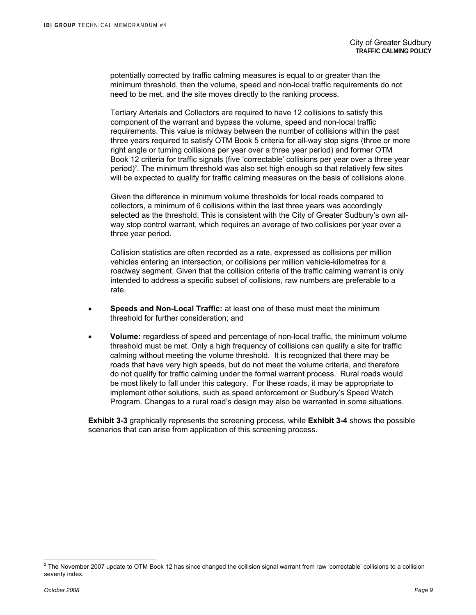potentially corrected by traffic calming measures is equal to or greater than the minimum threshold, then the volume, speed and non-local traffic requirements do not need to be met, and the site moves directly to the ranking process.

Tertiary Arterials and Collectors are required to have 12 collisions to satisfy this component of the warrant and bypass the volume, speed and non-local traffic requirements. This value is midway between the number of collisions within the past three years required to satisfy OTM Book 5 criteria for all-way stop signs (three or more right angle or turning collisions per year over a three year period) and former OTM Book 12 criteria for traffic signals (five 'correctable' collisions per year over a three year period)<sup>2</sup>. The minimum threshold was also set high enough so that relatively few sites will be expected to qualify for traffic calming measures on the basis of collisions alone.

Given the difference in minimum volume thresholds for local roads compared to collectors, a minimum of 6 collisions within the last three years was accordingly selected as the threshold. This is consistent with the City of Greater Sudbury's own allway stop control warrant, which requires an average of two collisions per year over a three year period.

Collision statistics are often recorded as a rate, expressed as collisions per million vehicles entering an intersection, or collisions per million vehicle-kilometres for a roadway segment. Given that the collision criteria of the traffic calming warrant is only intended to address a specific subset of collisions, raw numbers are preferable to a rate.

- **Speeds and Non-Local Traffic:** at least one of these must meet the minimum threshold for further consideration; and
- **Volume:** regardless of speed and percentage of non-local traffic, the minimum volume threshold must be met. Only a high frequency of collisions can qualify a site for traffic calming without meeting the volume threshold. It is recognized that there may be roads that have very high speeds, but do not meet the volume criteria, and therefore do not qualify for traffic calming under the formal warrant process. Rural roads would be most likely to fall under this category. For these roads, it may be appropriate to implement other solutions, such as speed enforcement or Sudbury's Speed Watch Program. Changes to a rural road's design may also be warranted in some situations.

**Exhibit 3-3** graphically represents the screening process, while **Exhibit 3-4** shows the possible scenarios that can arise from application of this screening process.

 2 The November 2007 update to OTM Book 12 has since changed the collision signal warrant from raw 'correctable' collisions to a collision severity index.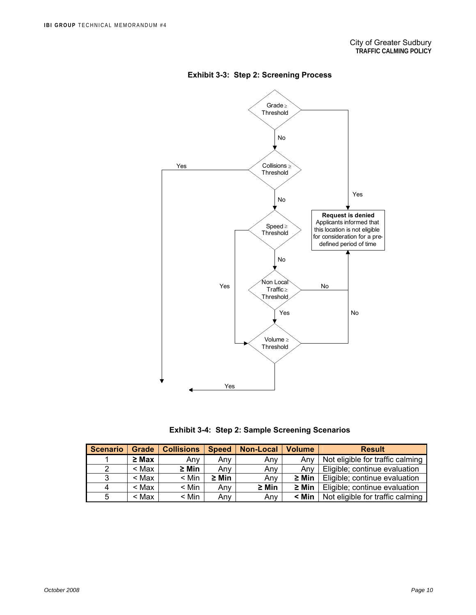

**Exhibit 3-3: Step 2: Screening Process** 

**Exhibit 3-4: Step 2: Sample Screening Scenarios** 

| <b>Scenario</b> | <b>Grade</b> | <b>Collisions</b> | <b>Speed</b> | <b>Non-Local</b> | <b>Volume</b> | <b>Result</b>                    |
|-----------------|--------------|-------------------|--------------|------------------|---------------|----------------------------------|
|                 | $\geq$ Max   | Any               | Anv          | Any              | Anv           | Not eligible for traffic calming |
| 2               | < Max        | $\geq$ Min        | Anv          | Anv              | Anv           | Eligible; continue evaluation    |
| 3               | < Max        | $<$ Min           | $\geq$ Min   | Anv              | $\geq$ Min    | Eligible; continue evaluation    |
| 4               | $<$ Max      | $<$ Min           | Anv          | $\geq$ Min       | $\geq$ Min    | Eligible; continue evaluation    |
| 5               | < Max        | $<$ Min           | Anv          | Any              | $<$ Min       | Not eligible for traffic calming |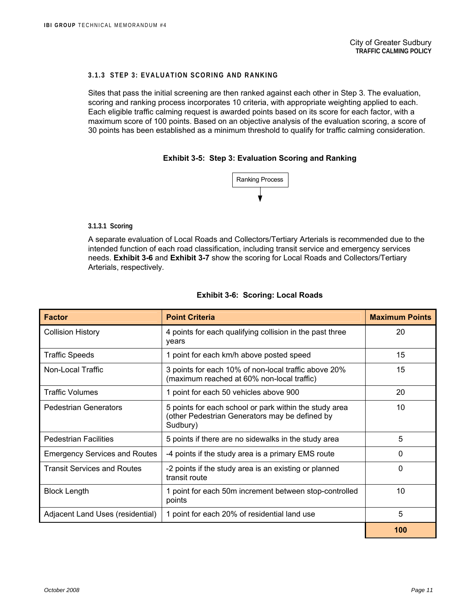#### **3.1.3 STEP 3: EVALUATION SCORING AND RANKING**

Sites that pass the initial screening are then ranked against each other in Step 3. The evaluation, scoring and ranking process incorporates 10 criteria, with appropriate weighting applied to each. Each eligible traffic calming request is awarded points based on its score for each factor, with a maximum score of 100 points. Based on an objective analysis of the evaluation scoring, a score of 30 points has been established as a minimum threshold to qualify for traffic calming consideration.

#### **Exhibit 3-5: Step 3: Evaluation Scoring and Ranking**



#### **3.1.3.1 Scoring**

A separate evaluation of Local Roads and Collectors/Tertiary Arterials is recommended due to the intended function of each road classification, including transit service and emergency services needs. **Exhibit 3-6** and **Exhibit 3-7** show the scoring for Local Roads and Collectors/Tertiary Arterials, respectively.

| <b>Factor</b>                        | <b>Point Criteria</b>                                                                                                | <b>Maximum Points</b> |
|--------------------------------------|----------------------------------------------------------------------------------------------------------------------|-----------------------|
| <b>Collision History</b>             | 4 points for each qualifying collision in the past three<br>years                                                    | 20                    |
| <b>Traffic Speeds</b>                | 1 point for each km/h above posted speed                                                                             | 15                    |
| Non-Local Traffic                    | 3 points for each 10% of non-local traffic above 20%<br>(maximum reached at 60% non-local traffic)                   | 15                    |
| <b>Traffic Volumes</b>               | 1 point for each 50 vehicles above 900                                                                               | 20                    |
| <b>Pedestrian Generators</b>         | 5 points for each school or park within the study area<br>(other Pedestrian Generators may be defined by<br>Sudbury) | 10                    |
| <b>Pedestrian Facilities</b>         | 5 points if there are no sidewalks in the study area                                                                 | 5                     |
| <b>Emergency Services and Routes</b> | -4 points if the study area is a primary EMS route                                                                   | 0                     |
| <b>Transit Services and Routes</b>   | -2 points if the study area is an existing or planned<br>transit route                                               | 0                     |
| <b>Block Length</b>                  | 1 point for each 50m increment between stop-controlled<br>points                                                     | 10                    |
| Adjacent Land Uses (residential)     | 1 point for each 20% of residential land use                                                                         | 5                     |
|                                      |                                                                                                                      | 100                   |

#### **Exhibit 3-6: Scoring: Local Roads**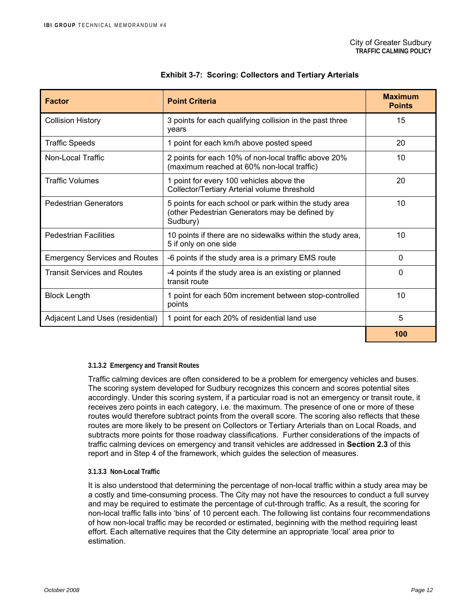| <b>Factor</b>                        | <b>Point Criteria</b>                                                                                                | <b>Maximum</b><br><b>Points</b> |
|--------------------------------------|----------------------------------------------------------------------------------------------------------------------|---------------------------------|
| <b>Collision History</b>             | 3 points for each qualifying collision in the past three<br>vears                                                    | 15                              |
| <b>Traffic Speeds</b>                | 1 point for each km/h above posted speed                                                                             | 20                              |
| Non-Local Traffic                    | 2 points for each 10% of non-local traffic above 20%<br>(maximum reached at 60% non-local traffic)                   | 10                              |
| <b>Traffic Volumes</b>               | 1 point for every 100 vehicles above the<br>Collector/Tertiary Arterial volume threshold                             | 20                              |
| <b>Pedestrian Generators</b>         | 5 points for each school or park within the study area<br>(other Pedestrian Generators may be defined by<br>Sudbury) | 10                              |
| <b>Pedestrian Facilities</b>         | 10 points if there are no sidewalks within the study area,<br>5 if only on one side                                  | 10                              |
| <b>Emergency Services and Routes</b> | -6 points if the study area is a primary EMS route                                                                   | 0                               |
| <b>Transit Services and Routes</b>   | -4 points if the study area is an existing or planned<br>transit route                                               | 0                               |
| <b>Block Length</b>                  | point for each 50m increment between stop-controlled<br>points                                                       | 10                              |
| Adjacent Land Uses (residential)     | 1 point for each 20% of residential land use                                                                         | 5                               |
|                                      |                                                                                                                      | 100                             |

#### **Exhibit 3-7: Scoring: Collectors and Tertiary Arterials**

#### **3.1.3.2 Emergency and Transit Routes**

Traffic calming devices are often considered to be a problem for emergency vehicles and buses. The scoring system developed for Sudbury recognizes this concern and scores potential sites accordingly. Under this scoring system, if a particular road is not an emergency or transit route, it receives zero points in each category, i.e. the maximum. The presence of one or more of these routes would therefore subtract points from the overall score. The scoring also reflects that these routes are more likely to be present on Collectors or Tertiary Arterials than on Local Roads, and subtracts more points for those roadway classifications. Further considerations of the impacts of traffic calming devices on emergency and transit vehicles are addressed in **Section 2.3** of this report and in Step 4 of the framework, which guides the selection of measures.

#### **3.1.3.3 Non-Local Traffic**

It is also understood that determining the percentage of non-local traffic within a study area may be a costly and time-consuming process. The City may not have the resources to conduct a full survey and may be required to estimate the percentage of cut-through traffic. As a result, the scoring for non-local traffic falls into 'bins' of 10 percent each. The following list contains four recommendations of how non-local traffic may be recorded or estimated, beginning with the method requiring least effort. Each alternative requires that the City determine an appropriate 'local' area prior to estimation.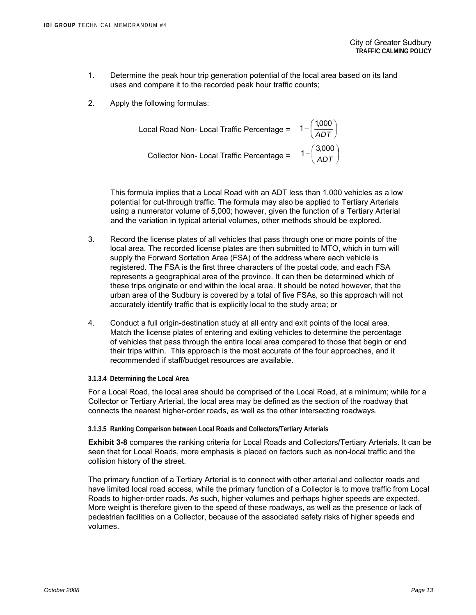- 1. Determine the peak hour trip generation potential of the local area based on its land uses and compare it to the recorded peak hour traffic counts;
- 2. Apply the following formulas:

Local Road Non- Local Traffic Percentage = 
$$
1 - \left(\frac{1,000}{ADT}\right)
$$
  
Collector Non- Local Traffic Percentage =  $1 - \left(\frac{3,000}{ADT}\right)$ 

This formula implies that a Local Road with an ADT less than 1,000 vehicles as a low potential for cut-through traffic. The formula may also be applied to Tertiary Arterials using a numerator volume of 5,000; however, given the function of a Tertiary Arterial and the variation in typical arterial volumes, other methods should be explored.

- 3. Record the license plates of all vehicles that pass through one or more points of the local area. The recorded license plates are then submitted to MTO, which in turn will supply the Forward Sortation Area (FSA) of the address where each vehicle is registered. The FSA is the first three characters of the postal code, and each FSA represents a geographical area of the province. It can then be determined which of these trips originate or end within the local area. It should be noted however, that the urban area of the Sudbury is covered by a total of five FSAs, so this approach will not accurately identify traffic that is explicitly local to the study area; or
- 4. Conduct a full origin-destination study at all entry and exit points of the local area. Match the license plates of entering and exiting vehicles to determine the percentage of vehicles that pass through the entire local area compared to those that begin or end their trips within. This approach is the most accurate of the four approaches, and it recommended if staff/budget resources are available.
- **3.1.3.4 Determining the Local Area**

For a Local Road, the local area should be comprised of the Local Road, at a minimum; while for a Collector or Tertiary Arterial, the local area may be defined as the section of the roadway that connects the nearest higher-order roads, as well as the other intersecting roadways.

**3.1.3.5 Ranking Comparison between Local Roads and Collectors/Tertiary Arterials** 

**Exhibit 3-8** compares the ranking criteria for Local Roads and Collectors/Tertiary Arterials. It can be seen that for Local Roads, more emphasis is placed on factors such as non-local traffic and the collision history of the street.

The primary function of a Tertiary Arterial is to connect with other arterial and collector roads and have limited local road access, while the primary function of a Collector is to move traffic from Local Roads to higher-order roads. As such, higher volumes and perhaps higher speeds are expected. More weight is therefore given to the speed of these roadways, as well as the presence or lack of pedestrian facilities on a Collector, because of the associated safety risks of higher speeds and volumes.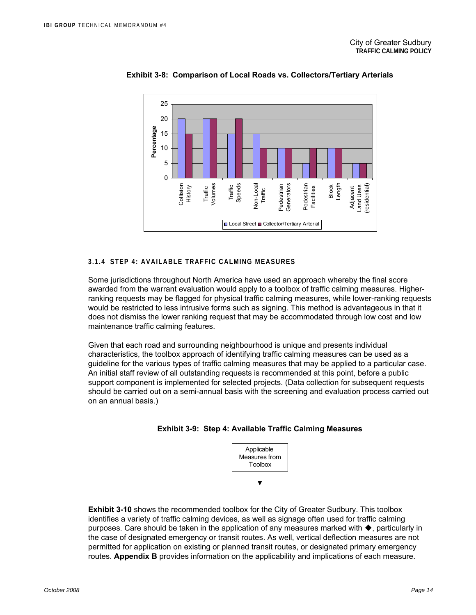

### **Exhibit 3-8: Comparison of Local Roads vs. Collectors/Tertiary Arterials**

#### **3.1.4 STEP 4: AVAILABLE TRAFFIC CALMING MEASURES**

Some jurisdictions throughout North America have used an approach whereby the final score awarded from the warrant evaluation would apply to a toolbox of traffic calming measures. Higherranking requests may be flagged for physical traffic calming measures, while lower-ranking requests would be restricted to less intrusive forms such as signing. This method is advantageous in that it does not dismiss the lower ranking request that may be accommodated through low cost and low maintenance traffic calming features.

Given that each road and surrounding neighbourhood is unique and presents individual characteristics, the toolbox approach of identifying traffic calming measures can be used as a guideline for the various types of traffic calming measures that may be applied to a particular case. An initial staff review of all outstanding requests is recommended at this point, before a public support component is implemented for selected projects. (Data collection for subsequent requests should be carried out on a semi-annual basis with the screening and evaluation process carried out on an annual basis.)





**Exhibit 3-10** shows the recommended toolbox for the City of Greater Sudbury. This toolbox identifies a variety of traffic calming devices, as well as signage often used for traffic calming purposes. Care should be taken in the application of any measures marked with  $\blacklozenge$ , particularly in the case of designated emergency or transit routes. As well, vertical deflection measures are not permitted for application on existing or planned transit routes, or designated primary emergency routes. **Appendix B** provides information on the applicability and implications of each measure.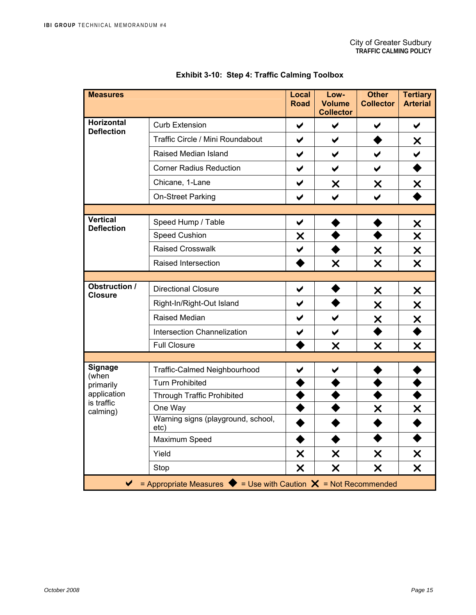| <b>Measures</b>                                                                                        |                                            | Local<br><b>Road</b>      | Low-<br><b>Volume</b><br><b>Collector</b> | <b>Other</b><br><b>Collector</b> | <b>Tertiary</b><br><b>Arterial</b>  |  |
|--------------------------------------------------------------------------------------------------------|--------------------------------------------|---------------------------|-------------------------------------------|----------------------------------|-------------------------------------|--|
| <b>Horizontal</b><br><b>Deflection</b>                                                                 | <b>Curb Extension</b>                      | $\blacktriangledown$      | $\blacktriangledown$                      | ✔                                | $\blacktriangledown$                |  |
|                                                                                                        | Traffic Circle / Mini Roundabout           | ✔                         | $\blacktriangledown$                      |                                  | X                                   |  |
|                                                                                                        | Raised Median Island                       | $\blacktriangledown$      | $\blacktriangledown$                      | $\blacktriangledown$             | $\checkmark$                        |  |
|                                                                                                        | <b>Corner Radius Reduction</b>             | $\blacktriangledown$      | $\blacktriangledown$                      | $\blacktriangledown$             |                                     |  |
|                                                                                                        | Chicane, 1-Lane                            | $\blacktriangledown$      | X                                         | X                                | X                                   |  |
|                                                                                                        | On-Street Parking                          | $\blacktriangledown$      | $\blacktriangleright$                     | $\checkmark$                     |                                     |  |
|                                                                                                        |                                            |                           |                                           |                                  |                                     |  |
| Vertical<br><b>Deflection</b>                                                                          | Speed Hump / Table                         | $\blacktriangledown$      |                                           |                                  | X                                   |  |
|                                                                                                        | <b>Speed Cushion</b>                       | X                         |                                           |                                  | X                                   |  |
|                                                                                                        | <b>Raised Crosswalk</b>                    | $\checkmark$              |                                           | X                                | X                                   |  |
|                                                                                                        | Raised Intersection                        |                           | $\boldsymbol{\mathsf{x}}$                 | $\overline{\mathsf{x}}$          | $\overline{\mathsf{x}}$             |  |
|                                                                                                        |                                            |                           |                                           |                                  |                                     |  |
| <b>Obstruction /</b><br><b>Closure</b>                                                                 | <b>Directional Closure</b>                 | $\blacktriangledown$      |                                           | X                                | X                                   |  |
|                                                                                                        | Right-In/Right-Out Island                  | $\blacktriangledown$      |                                           | X                                | X                                   |  |
|                                                                                                        | Raised Median                              | $\blacktriangledown$      | $\blacktriangledown$                      | X                                | $\frac{\mathsf{X}}{\blacktriangle}$ |  |
|                                                                                                        | <b>Intersection Channelization</b>         | ✔                         | $\blacktriangledown$                      |                                  |                                     |  |
|                                                                                                        | <b>Full Closure</b>                        |                           | X                                         | X                                | X                                   |  |
|                                                                                                        |                                            |                           |                                           |                                  |                                     |  |
| <b>Signage</b><br>(when                                                                                | <b>Traffic-Calmed Neighbourhood</b>        | ✔                         | ✔                                         |                                  |                                     |  |
| primarily                                                                                              | <b>Turn Prohibited</b>                     |                           |                                           |                                  |                                     |  |
| application<br>is traffic                                                                              | <b>Through Traffic Prohibited</b>          |                           |                                           |                                  |                                     |  |
| calming)                                                                                               | One Way                                    |                           |                                           | X                                | X                                   |  |
|                                                                                                        | Warning signs (playground, school,<br>etc) |                           |                                           |                                  |                                     |  |
|                                                                                                        | Maximum Speed                              |                           |                                           |                                  |                                     |  |
|                                                                                                        | Yield                                      | $\boldsymbol{\mathsf{x}}$ | $\boldsymbol{\mathsf{x}}$                 | X                                | X                                   |  |
|                                                                                                        | Stop                                       | X                         | X                                         | X                                | $\boldsymbol{\mathsf{x}}$           |  |
| = Appropriate Measures $\blacklozenge$ = Use with Caution $\blacktriangleright$ = Not Recommended<br>✔ |                                            |                           |                                           |                                  |                                     |  |

### **Exhibit 3-10: Step 4: Traffic Calming Toolbox**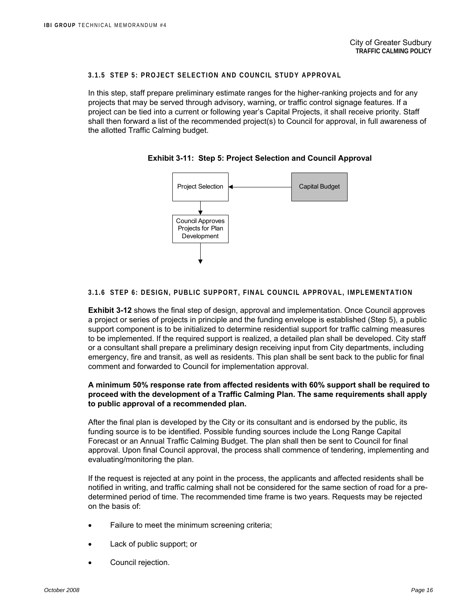#### **3.1.5 STEP 5: PROJECT SELECTION AND COUNCIL STUDY APPROVAL**

In this step, staff prepare preliminary estimate ranges for the higher-ranking projects and for any projects that may be served through advisory, warning, or traffic control signage features. If a project can be tied into a current or following year's Capital Projects, it shall receive priority. Staff shall then forward a list of the recommended project(s) to Council for approval, in full awareness of the allotted Traffic Calming budget.



**Exhibit 3-11: Step 5: Project Selection and Council Approval** 

#### **3.1.6 STEP 6: DESIGN, PUBLIC SUPPORT, FINAL COUNCIL APPROVAL, IMPLEMENTATION**

**Exhibit 3-12** shows the final step of design, approval and implementation. Once Council approves a project or series of projects in principle and the funding envelope is established (Step 5), a public support component is to be initialized to determine residential support for traffic calming measures to be implemented. If the required support is realized, a detailed plan shall be developed. City staff or a consultant shall prepare a preliminary design receiving input from City departments, including emergency, fire and transit, as well as residents. This plan shall be sent back to the public for final comment and forwarded to Council for implementation approval.

#### **A minimum 50% response rate from affected residents with 60% support shall be required to proceed with the development of a Traffic Calming Plan. The same requirements shall apply to public approval of a recommended plan.**

After the final plan is developed by the City or its consultant and is endorsed by the public, its funding source is to be identified. Possible funding sources include the Long Range Capital Forecast or an Annual Traffic Calming Budget. The plan shall then be sent to Council for final approval. Upon final Council approval, the process shall commence of tendering, implementing and evaluating/monitoring the plan.

If the request is rejected at any point in the process, the applicants and affected residents shall be notified in writing, and traffic calming shall not be considered for the same section of road for a predetermined period of time. The recommended time frame is two years. Requests may be rejected on the basis of:

- Failure to meet the minimum screening criteria;
- Lack of public support; or
- Council rejection.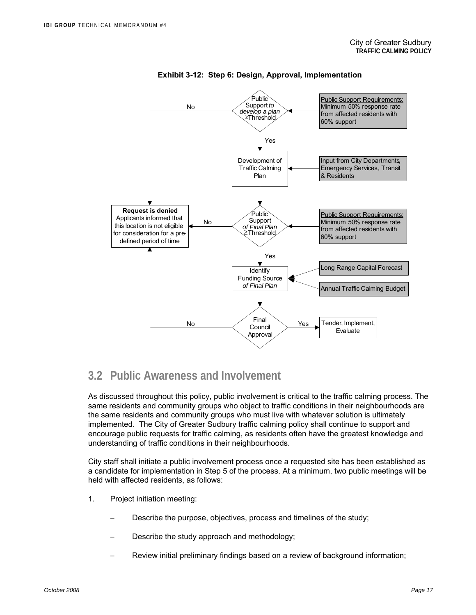

#### **Exhibit 3-12: Step 6: Design, Approval, Implementation**

### **3.2 Public Awareness and Involvement**

As discussed throughout this policy, public involvement is critical to the traffic calming process. The same residents and community groups who object to traffic conditions in their neighbourhoods are the same residents and community groups who must live with whatever solution is ultimately implemented. The City of Greater Sudbury traffic calming policy shall continue to support and encourage public requests for traffic calming, as residents often have the greatest knowledge and understanding of traffic conditions in their neighbourhoods.

City staff shall initiate a public involvement process once a requested site has been established as a candidate for implementation in Step 5 of the process. At a minimum, two public meetings will be held with affected residents, as follows:

- 1. Project initiation meeting:
	- Describe the purpose, objectives, process and timelines of the study;
	- Describe the study approach and methodology;
	- − Review initial preliminary findings based on a review of background information;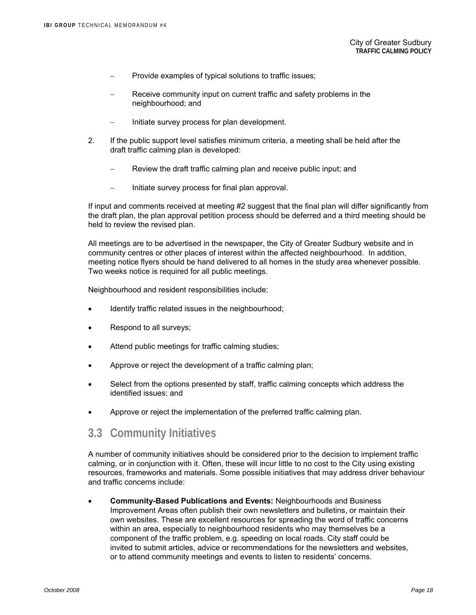- Provide examples of typical solutions to traffic issues;
- Receive community input on current traffic and safety problems in the neighbourhood; and
- − Initiate survey process for plan development.
- 2. If the public support level satisfies minimum criteria, a meeting shall be held after the draft traffic calming plan is developed:
	- − Review the draft traffic calming plan and receive public input; and
	- − Initiate survey process for final plan approval.

If input and comments received at meeting #2 suggest that the final plan will differ significantly from the draft plan, the plan approval petition process should be deferred and a third meeting should be held to review the revised plan.

All meetings are to be advertised in the newspaper, the City of Greater Sudbury website and in community centres or other places of interest within the affected neighbourhood. In addition, meeting notice flyers should be hand delivered to all homes in the study area whenever possible. Two weeks notice is required for all public meetings.

Neighbourhood and resident responsibilities include:

- Identify traffic related issues in the neighbourhood;
- Respond to all surveys;
- Attend public meetings for traffic calming studies;
- Approve or reject the development of a traffic calming plan;
- Select from the options presented by staff, traffic calming concepts which address the identified issues; and
- Approve or reject the implementation of the preferred traffic calming plan.

### **3.3 Community Initiatives**

A number of community initiatives should be considered prior to the decision to implement traffic calming, or in conjunction with it. Often, these will incur little to no cost to the City using existing resources, frameworks and materials. Some possible initiatives that may address driver behaviour and traffic concerns include:

• **Community-Based Publications and Events:** Neighbourhoods and Business Improvement Areas often publish their own newsletters and bulletins, or maintain their own websites. These are excellent resources for spreading the word of traffic concerns within an area, especially to neighbourhood residents who may themselves be a component of the traffic problem, e.g. speeding on local roads. City staff could be invited to submit articles, advice or recommendations for the newsletters and websites, or to attend community meetings and events to listen to residents' concerns.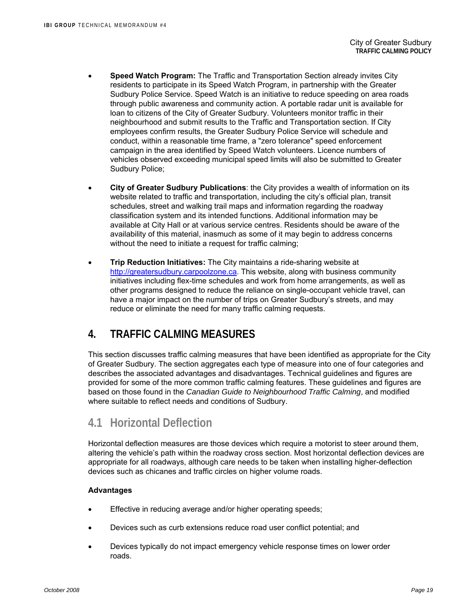- **Speed Watch Program:** The Traffic and Transportation Section already invites City residents to participate in its Speed Watch Program, in partnership with the Greater Sudbury Police Service. Speed Watch is an initiative to reduce speeding on area roads through public awareness and community action. A portable radar unit is available for loan to citizens of the City of Greater Sudbury. Volunteers monitor traffic in their neighbourhood and submit results to the Traffic and Transportation section. If City employees confirm results, the Greater Sudbury Police Service will schedule and conduct, within a reasonable time frame, a "zero tolerance" speed enforcement campaign in the area identified by Speed Watch volunteers. Licence numbers of vehicles observed exceeding municipal speed limits will also be submitted to Greater Sudbury Police;
- **City of Greater Sudbury Publications**: the City provides a wealth of information on its website related to traffic and transportation, including the city's official plan, transit schedules, street and walking trail maps and information regarding the roadway classification system and its intended functions. Additional information may be available at City Hall or at various service centres. Residents should be aware of the availability of this material, inasmuch as some of it may begin to address concerns without the need to initiate a request for traffic calming;
- **Trip Reduction Initiatives:** The City maintains a ride-sharing website at http://greatersudbury.carpoolzone.ca. This website, along with business community initiatives including flex-time schedules and work from home arrangements, as well as other programs designed to reduce the reliance on single-occupant vehicle travel, can have a major impact on the number of trips on Greater Sudbury's streets, and may reduce or eliminate the need for many traffic calming requests.

### **4. TRAFFIC CALMING MEASURES**

This section discusses traffic calming measures that have been identified as appropriate for the City of Greater Sudbury. The section aggregates each type of measure into one of four categories and describes the associated advantages and disadvantages. Technical guidelines and figures are provided for some of the more common traffic calming features. These guidelines and figures are based on those found in the *Canadian Guide to Neighbourhood Traffic Calming*, and modified where suitable to reflect needs and conditions of Sudbury.

### **4.1 Horizontal Deflection**

Horizontal deflection measures are those devices which require a motorist to steer around them, altering the vehicle's path within the roadway cross section. Most horizontal deflection devices are appropriate for all roadways, although care needs to be taken when installing higher-deflection devices such as chicanes and traffic circles on higher volume roads.

### **Advantages**

- Effective in reducing average and/or higher operating speeds;
- Devices such as curb extensions reduce road user conflict potential; and
- Devices typically do not impact emergency vehicle response times on lower order roads.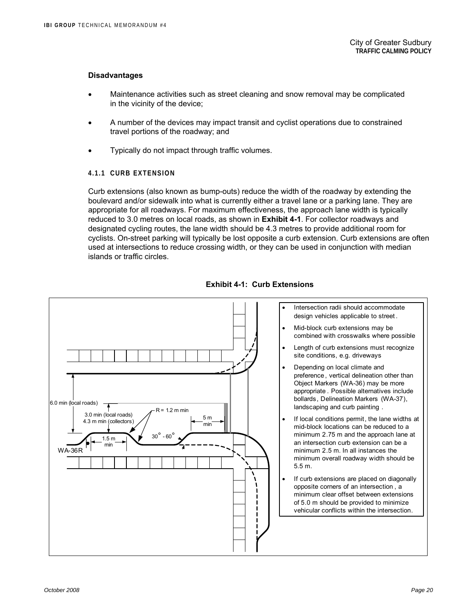#### **Disadvantages**

- Maintenance activities such as street cleaning and snow removal may be complicated in the vicinity of the device;
- A number of the devices may impact transit and cyclist operations due to constrained travel portions of the roadway; and
- Typically do not impact through traffic volumes.

#### **4.1.1 CURB EXTENSION**

Curb extensions (also known as bump-outs) reduce the width of the roadway by extending the boulevard and/or sidewalk into what is currently either a travel lane or a parking lane. They are appropriate for all roadways. For maximum effectiveness, the approach lane width is typically reduced to 3.0 metres on local roads, as shown in **Exhibit 4-1**. For collector roadways and designated cycling routes, the lane width should be 4.3 metres to provide additional room for cyclists. On-street parking will typically be lost opposite a curb extension. Curb extensions are often used at intersections to reduce crossing width, or they can be used in conjunction with median islands or traffic circles.



**Exhibit 4-1: Curb Extensions**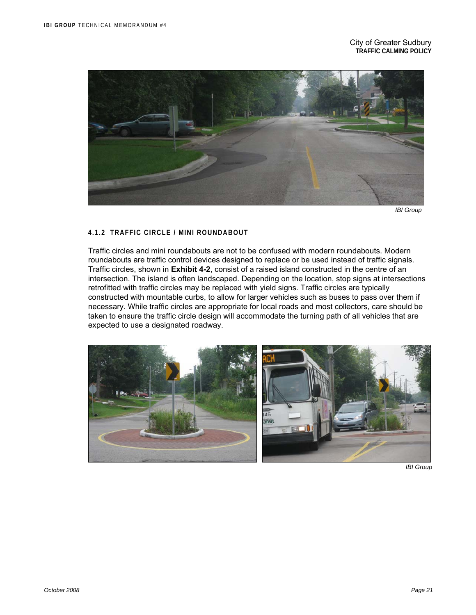

 *IBI Group* 

#### **4.1.2 TRAFFIC CIRCLE / MINI ROUNDABOUT**

Traffic circles and mini roundabouts are not to be confused with modern roundabouts. Modern roundabouts are traffic control devices designed to replace or be used instead of traffic signals. Traffic circles, shown in **Exhibit 4-2**, consist of a raised island constructed in the centre of an intersection. The island is often landscaped. Depending on the location, stop signs at intersections retrofitted with traffic circles may be replaced with yield signs. Traffic circles are typically constructed with mountable curbs, to allow for larger vehicles such as buses to pass over them if necessary. While traffic circles are appropriate for local roads and most collectors, care should be taken to ensure the traffic circle design will accommodate the turning path of all vehicles that are expected to use a designated roadway.



 *IBI Group*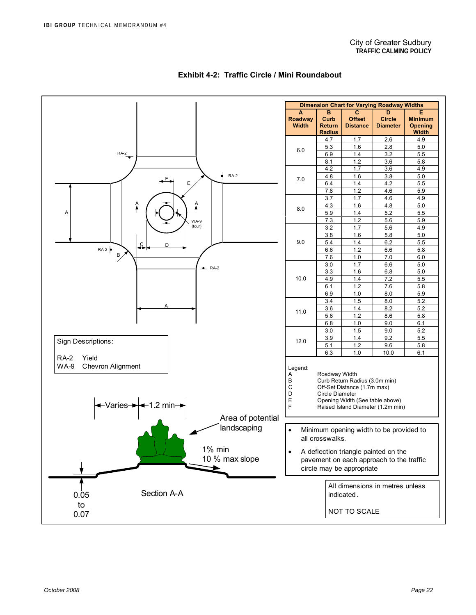

#### **Exhibit 4-2: Traffic Circle / Mini Roundabout**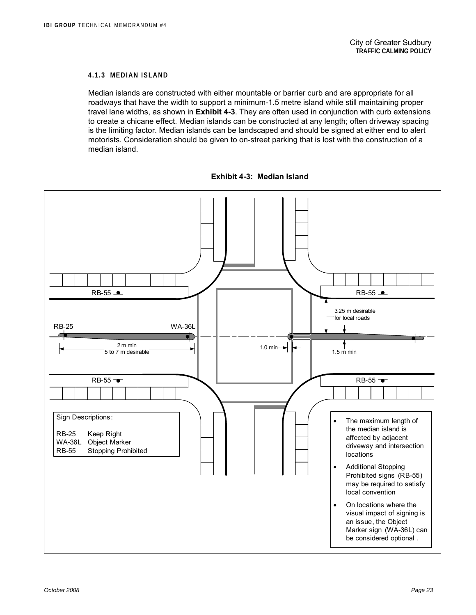#### **4.1.3 MEDIAN ISLAND**

Median islands are constructed with either mountable or barrier curb and are appropriate for all roadways that have the width to support a minimum-1.5 metre island while still maintaining proper travel lane widths, as shown in **Exhibit 4-3**. They are often used in conjunction with curb extensions to create a chicane effect. Median islands can be constructed at any length; often driveway spacing is the limiting factor. Median islands can be landscaped and should be signed at either end to alert motorists. Consideration should be given to on-street parking that is lost with the construction of a median island.

**Exhibit 4-3: Median Island** 

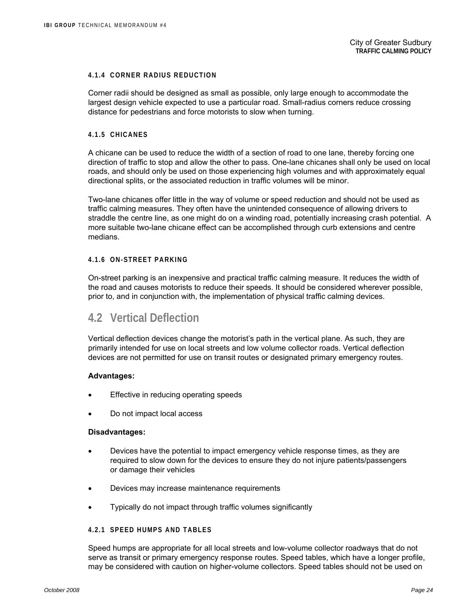#### **4.1.4 CORNER RADIUS REDUCTION**

Corner radii should be designed as small as possible, only large enough to accommodate the largest design vehicle expected to use a particular road. Small-radius corners reduce crossing distance for pedestrians and force motorists to slow when turning.

#### **4.1.5 CHICANES**

A chicane can be used to reduce the width of a section of road to one lane, thereby forcing one direction of traffic to stop and allow the other to pass. One-lane chicanes shall only be used on local roads, and should only be used on those experiencing high volumes and with approximately equal directional splits, or the associated reduction in traffic volumes will be minor.

Two-lane chicanes offer little in the way of volume or speed reduction and should not be used as traffic calming measures. They often have the unintended consequence of allowing drivers to straddle the centre line, as one might do on a winding road, potentially increasing crash potential. A more suitable two-lane chicane effect can be accomplished through curb extensions and centre medians.

#### **4.1.6 ON-STREET PARKING**

On-street parking is an inexpensive and practical traffic calming measure. It reduces the width of the road and causes motorists to reduce their speeds. It should be considered wherever possible, prior to, and in conjunction with, the implementation of physical traffic calming devices.

### **4.2 Vertical Deflection**

Vertical deflection devices change the motorist's path in the vertical plane. As such, they are primarily intended for use on local streets and low volume collector roads. Vertical deflection devices are not permitted for use on transit routes or designated primary emergency routes.

#### **Advantages:**

- Effective in reducing operating speeds
- Do not impact local access

#### **Disadvantages:**

- Devices have the potential to impact emergency vehicle response times, as they are required to slow down for the devices to ensure they do not injure patients/passengers or damage their vehicles
- Devices may increase maintenance requirements
- Typically do not impact through traffic volumes significantly

#### **4.2.1 SPEED HUMPS AND TABLES**

Speed humps are appropriate for all local streets and low-volume collector roadways that do not serve as transit or primary emergency response routes. Speed tables, which have a longer profile, may be considered with caution on higher-volume collectors. Speed tables should not be used on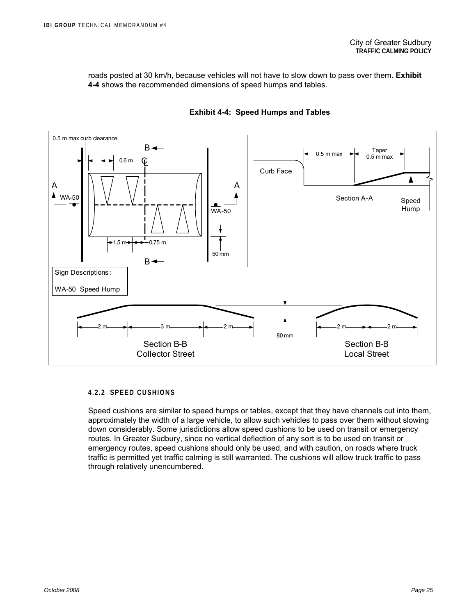roads posted at 30 km/h, because vehicles will not have to slow down to pass over them. **Exhibit 4-4** shows the recommended dimensions of speed humps and tables.



#### **Exhibit 4-4: Speed Humps and Tables**

#### **4.2.2 SPEED CUSHIONS**

Speed cushions are similar to speed humps or tables, except that they have channels cut into them, approximately the width of a large vehicle, to allow such vehicles to pass over them without slowing down considerably. Some jurisdictions allow speed cushions to be used on transit or emergency routes. In Greater Sudbury, since no vertical deflection of any sort is to be used on transit or emergency routes, speed cushions should only be used, and with caution, on roads where truck traffic is permitted yet traffic calming is still warranted. The cushions will allow truck traffic to pass through relatively unencumbered.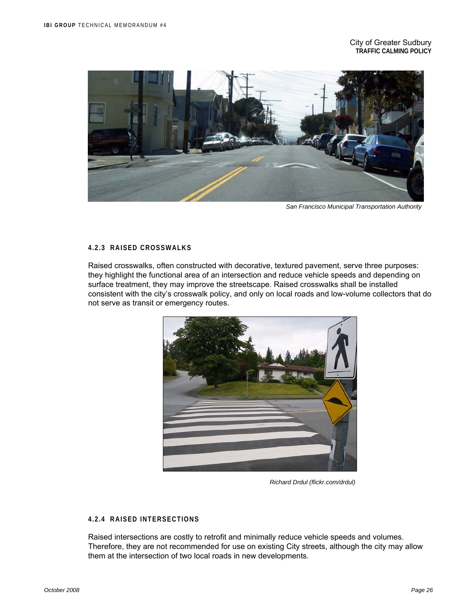

 *San Francisco Municipal Transportation Authority* 

#### **4.2.3 RAISED CROSSWALKS**

Raised crosswalks, often constructed with decorative, textured pavement, serve three purposes: they highlight the functional area of an intersection and reduce vehicle speeds and depending on surface treatment, they may improve the streetscape. Raised crosswalks shall be installed consistent with the city's crosswalk policy, and only on local roads and low-volume collectors that do not serve as transit or emergency routes.



 *Richard Drdul (flickr.com/drdul)* 

#### **4.2.4 RAISED INTERSECTIONS**

Raised intersections are costly to retrofit and minimally reduce vehicle speeds and volumes. Therefore, they are not recommended for use on existing City streets, although the city may allow them at the intersection of two local roads in new developments.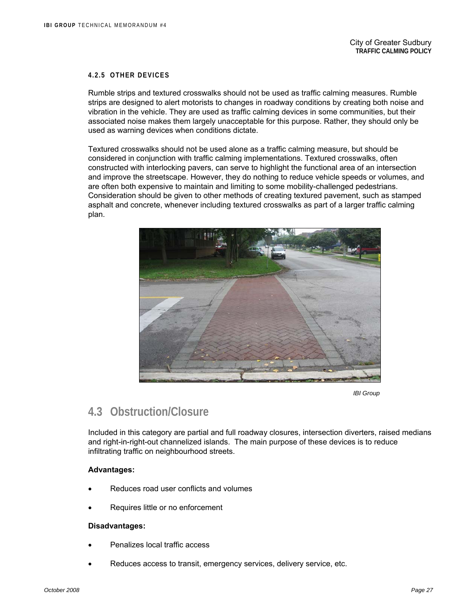#### **4.2.5 OTHER DEVICES**

Rumble strips and textured crosswalks should not be used as traffic calming measures. Rumble strips are designed to alert motorists to changes in roadway conditions by creating both noise and vibration in the vehicle. They are used as traffic calming devices in some communities, but their associated noise makes them largely unacceptable for this purpose. Rather, they should only be used as warning devices when conditions dictate.

Textured crosswalks should not be used alone as a traffic calming measure, but should be considered in conjunction with traffic calming implementations. Textured crosswalks, often constructed with interlocking pavers, can serve to highlight the functional area of an intersection and improve the streetscape. However, they do nothing to reduce vehicle speeds or volumes, and are often both expensive to maintain and limiting to some mobility-challenged pedestrians. Consideration should be given to other methods of creating textured pavement, such as stamped asphalt and concrete, whenever including textured crosswalks as part of a larger traffic calming plan.



*IBI Group* 

### **4.3 Obstruction/Closure**

Included in this category are partial and full roadway closures, intersection diverters, raised medians and right-in-right-out channelized islands. The main purpose of these devices is to reduce infiltrating traffic on neighbourhood streets.

#### **Advantages:**

- Reduces road user conflicts and volumes
- Requires little or no enforcement

#### **Disadvantages:**

- Penalizes local traffic access
- Reduces access to transit, emergency services, delivery service, etc.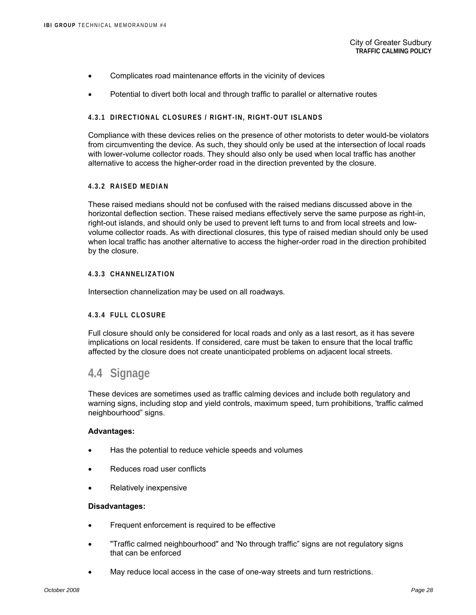- Complicates road maintenance efforts in the vicinity of devices
- Potential to divert both local and through traffic to parallel or alternative routes

#### **4.3.1 DIRECTIONAL CLOSURES / RIGHT-IN, RIGHT-OUT ISLANDS**

Compliance with these devices relies on the presence of other motorists to deter would-be violators from circumventing the device. As such, they should only be used at the intersection of local roads with lower-volume collector roads. They should also only be used when local traffic has another alternative to access the higher-order road in the direction prevented by the closure.

#### **4.3.2 RAISED MEDIAN**

These raised medians should not be confused with the raised medians discussed above in the horizontal deflection section. These raised medians effectively serve the same purpose as right-in, right-out islands, and should only be used to prevent left turns to and from local streets and lowvolume collector roads. As with directional closures, this type of raised median should only be used when local traffic has another alternative to access the higher-order road in the direction prohibited by the closure.

#### **4.3.3 CHANNELIZATION**

Intersection channelization may be used on all roadways.

#### **4.3.4 FULL CLOSURE**

Full closure should only be considered for local roads and only as a last resort, as it has severe implications on local residents. If considered, care must be taken to ensure that the local traffic affected by the closure does not create unanticipated problems on adjacent local streets.

### **4.4 Signage**

These devices are sometimes used as traffic calming devices and include both regulatory and warning signs, including stop and yield controls, maximum speed, turn prohibitions, 'traffic calmed neighbourhood" signs.

#### **Advantages:**

- Has the potential to reduce vehicle speeds and volumes
- Reduces road user conflicts
- Relatively inexpensive

#### **Disadvantages:**

- Frequent enforcement is required to be effective
- "Traffic calmed neighbourhood" and 'No through traffic" signs are not regulatory signs that can be enforced
- May reduce local access in the case of one-way streets and turn restrictions.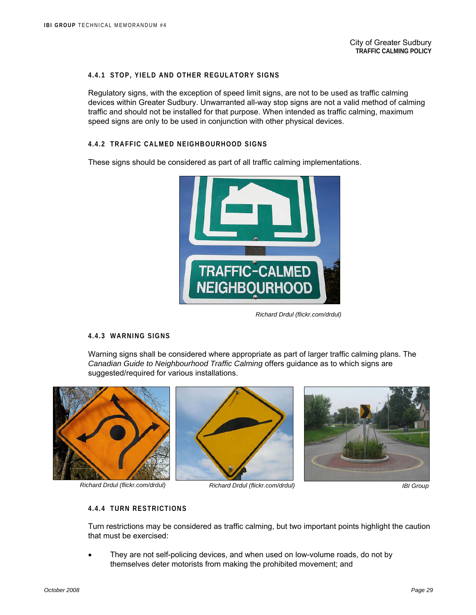#### **4.4.1 STOP, YIELD AND OTHER REGULATORY SIGNS**

Regulatory signs, with the exception of speed limit signs, are not to be used as traffic calming devices within Greater Sudbury. Unwarranted all-way stop signs are not a valid method of calming traffic and should not be installed for that purpose. When intended as traffic calming, maximum speed signs are only to be used in conjunction with other physical devices.

#### **4.4.2 TRAFFIC CALMED NEIGHBOURHOOD SIGNS**

These signs should be considered as part of all traffic calming implementations.



 *Richard Drdul (flickr.com/drdul)*

#### **4.4.3 WARNING SIGNS**

Warning signs shall be considered where appropriate as part of larger traffic calming plans. The *Canadian Guide to Neighbourhood Traffic Calming* offers guidance as to which signs are suggested/required for various installations.





*Richard Drdul (flickr.com/drdul) Richard Drdul (flickr.com/drdul) IBI Group* 



#### **4.4.4 TURN RESTRICTIONS**

Turn restrictions may be considered as traffic calming, but two important points highlight the caution that must be exercised:

They are not self-policing devices, and when used on low-volume roads, do not by themselves deter motorists from making the prohibited movement; and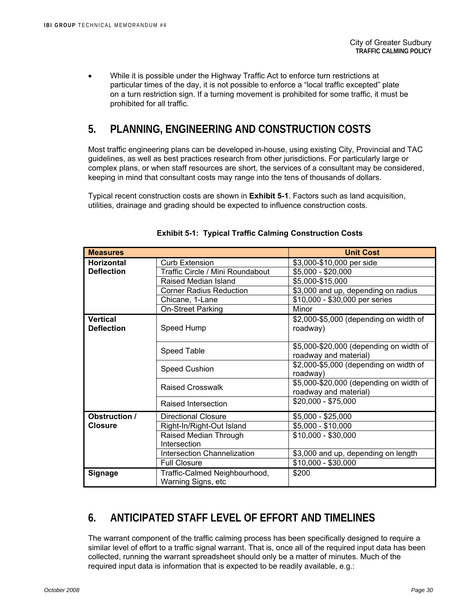• While it is possible under the Highway Traffic Act to enforce turn restrictions at particular times of the day, it is not possible to enforce a "local traffic excepted" plate on a turn restriction sign. If a turning movement is prohibited for some traffic, it must be prohibited for all traffic.

## **5. PLANNING, ENGINEERING AND CONSTRUCTION COSTS**

Most traffic engineering plans can be developed in-house, using existing City, Provincial and TAC guidelines, as well as best practices research from other jurisdictions. For particularly large or complex plans, or when staff resources are short, the services of a consultant may be considered, keeping in mind that consultant costs may range into the tens of thousands of dollars.

Typical recent construction costs are shown in **Exhibit 5-1**. Factors such as land acquisition, utilities, drainage and grading should be expected to influence construction costs.

| <b>Measures</b>                                    |                                                     | <b>Unit Cost</b>                                                 |  |  |
|----------------------------------------------------|-----------------------------------------------------|------------------------------------------------------------------|--|--|
| <b>Horizontal</b>                                  | <b>Curb Extension</b>                               | \$3,000-\$10,000 per side                                        |  |  |
| <b>Deflection</b>                                  | Traffic Circle / Mini Roundabout                    | \$5,000 - \$20,000                                               |  |  |
|                                                    | Raised Median Island                                | \$5,000-\$15,000                                                 |  |  |
|                                                    | <b>Corner Radius Reduction</b>                      | \$3,000 and up, depending on radius                              |  |  |
|                                                    | Chicane, 1-Lane                                     | \$10,000 - \$30,000 per series                                   |  |  |
|                                                    | On-Street Parking                                   | Minor                                                            |  |  |
| <b>Vertical</b><br><b>Deflection</b><br>Speed Hump |                                                     | \$2,000-\$5,000 (depending on width of<br>roadway)               |  |  |
|                                                    | <b>Speed Table</b>                                  | \$5,000-\$20,000 (depending on width of<br>roadway and material) |  |  |
|                                                    | <b>Speed Cushion</b>                                | \$2,000-\$5,000 (depending on width of<br>roadway)               |  |  |
| Raised Crosswalk                                   |                                                     | \$5,000-\$20,000 (depending on width of<br>roadway and material) |  |  |
|                                                    | Raised Intersection                                 | \$20,000 - \$75,000                                              |  |  |
| Obstruction /                                      | <b>Directional Closure</b>                          | \$5,000 - \$25,000                                               |  |  |
| <b>Closure</b>                                     | Right-In/Right-Out Island                           | \$5,000 - \$10,000                                               |  |  |
|                                                    | Raised Median Through                               | $$10,000 - $30,000$                                              |  |  |
|                                                    | Intersection                                        |                                                                  |  |  |
|                                                    | <b>Intersection Channelization</b>                  | \$3,000 and up, depending on length                              |  |  |
|                                                    | <b>Full Closure</b>                                 | \$10,000 - \$30,000                                              |  |  |
| <b>Signage</b>                                     | Traffic-Calmed Neighbourhood,<br>Warning Signs, etc | \$200                                                            |  |  |

#### **Exhibit 5-1: Typical Traffic Calming Construction Costs**

# **6. ANTICIPATED STAFF LEVEL OF EFFORT AND TIMELINES**

The warrant component of the traffic calming process has been specifically designed to require a similar level of effort to a traffic signal warrant. That is, once all of the required input data has been collected, running the warrant spreadsheet should only be a matter of minutes. Much of the required input data is information that is expected to be readily available, e.g.: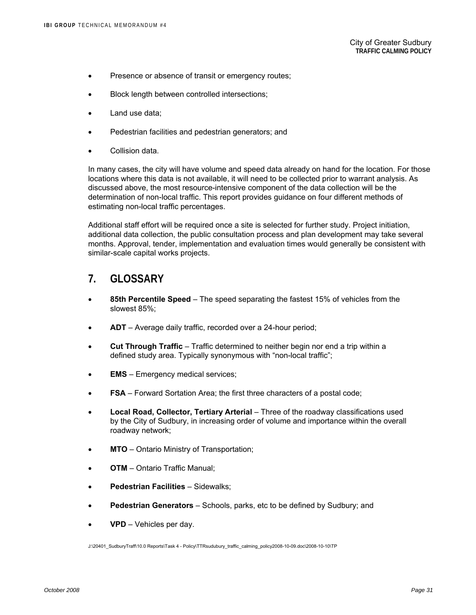- Presence or absence of transit or emergency routes;
- Block length between controlled intersections;
- Land use data:
- Pedestrian facilities and pedestrian generators; and
- Collision data

In many cases, the city will have volume and speed data already on hand for the location. For those locations where this data is not available, it will need to be collected prior to warrant analysis. As discussed above, the most resource-intensive component of the data collection will be the determination of non-local traffic. This report provides guidance on four different methods of estimating non-local traffic percentages.

Additional staff effort will be required once a site is selected for further study. Project initiation, additional data collection, the public consultation process and plan development may take several months. Approval, tender, implementation and evaluation times would generally be consistent with similar-scale capital works projects.

### **7. GLOSSARY**

- **85th Percentile Speed** The speed separating the fastest 15% of vehicles from the slowest 85%;
- **ADT** Average daily traffic, recorded over a 24-hour period;
- **Cut Through Traffic** Traffic determined to neither begin nor end a trip within a defined study area. Typically synonymous with "non-local traffic";
- **EMS** Emergency medical services;
- **FSA** Forward Sortation Area; the first three characters of a postal code;
- **Local Road, Collector, Tertiary Arterial** Three of the roadway classifications used by the City of Sudbury, in increasing order of volume and importance within the overall roadway network;
- **MTO** Ontario Ministry of Transportation;
- **OTM** Ontario Traffic Manual;
- **Pedestrian Facilities** Sidewalks;
- **Pedestrian Generators** Schools, parks, etc to be defined by Sudbury; and
- **VPD** Vehicles per day.

J:\20401\_SudburyTraff\10.0 Reports\Task 4 - Policy\TTRsudubury\_traffic\_calming\_policy2008-10-09.doc\2008-10-10\TP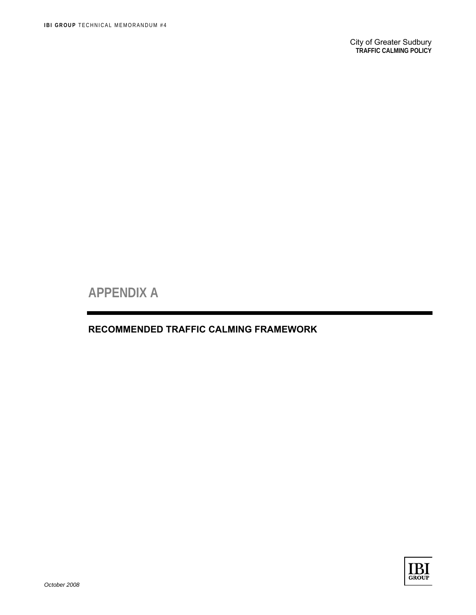**APPENDIX A** 

### **RECOMMENDED TRAFFIC CALMING FRAMEWORK**

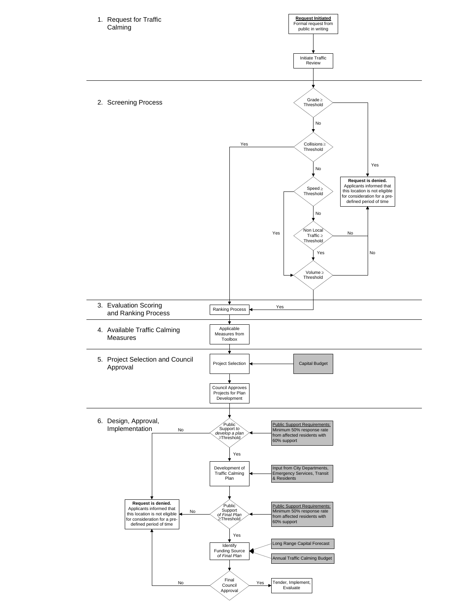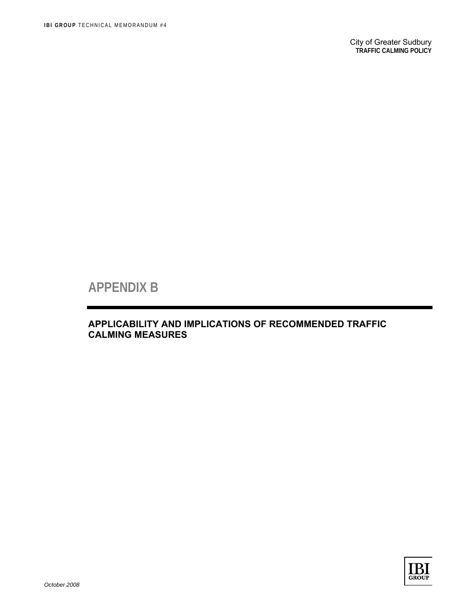# **APPENDIX B**

### **APPLICABILITY AND IMPLICATIONS OF RECOMMENDED TRAFFIC CALMING MEASURES**

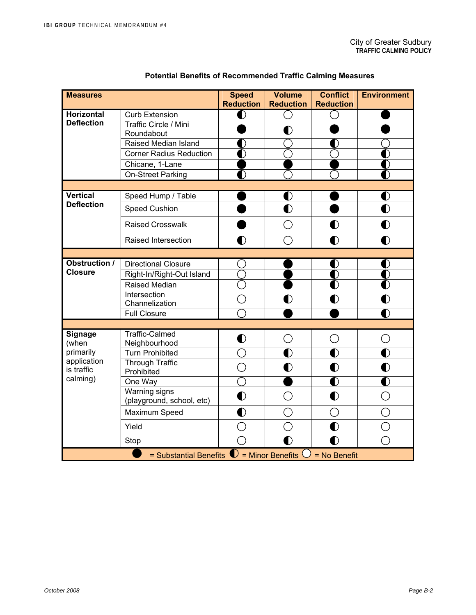| <b>Measures</b>                                                            |                                | <b>Speed</b><br><b>Reduction</b> | <b>Volume</b><br><b>Reduction</b> | <b>Conflict</b><br><b>Reduction</b> | <b>Environment</b>                          |  |
|----------------------------------------------------------------------------|--------------------------------|----------------------------------|-----------------------------------|-------------------------------------|---------------------------------------------|--|
| <b>Horizontal</b>                                                          | <b>Curb Extension</b>          | Ŋ                                |                                   |                                     |                                             |  |
| <b>Deflection</b>                                                          | Traffic Circle / Mini          |                                  |                                   |                                     |                                             |  |
|                                                                            | Roundabout                     |                                  | $\bf O$                           |                                     |                                             |  |
|                                                                            | Raised Median Island           |                                  |                                   |                                     |                                             |  |
|                                                                            | <b>Corner Radius Reduction</b> | D                                |                                   |                                     |                                             |  |
|                                                                            | Chicane, 1-Lane                |                                  |                                   |                                     |                                             |  |
|                                                                            | On-Street Parking              | D                                |                                   |                                     |                                             |  |
|                                                                            |                                |                                  |                                   |                                     |                                             |  |
| Vertical                                                                   | Speed Hump / Table             |                                  | $\bf O$                           |                                     | O                                           |  |
| <b>Deflection</b>                                                          | Speed Cushion                  |                                  | $\bullet$                         |                                     | $\bullet$                                   |  |
|                                                                            | <b>Raised Crosswalk</b>        |                                  | С                                 | D                                   | $\mathbf 0$                                 |  |
|                                                                            | Raised Intersection            | $\bf O$                          | ◯                                 | D                                   | Ŋ                                           |  |
|                                                                            |                                |                                  |                                   |                                     |                                             |  |
| Obstruction /                                                              | <b>Directional Closure</b>     |                                  |                                   |                                     |                                             |  |
| <b>Closure</b>                                                             | Right-In/Right-Out Island      |                                  |                                   | D                                   | D                                           |  |
|                                                                            | <b>Raised Median</b>           |                                  |                                   | D                                   | D                                           |  |
|                                                                            | Intersection                   | r i                              |                                   | D                                   | D                                           |  |
|                                                                            | Channelization                 |                                  |                                   |                                     |                                             |  |
|                                                                            | <b>Full Closure</b>            |                                  |                                   |                                     | D                                           |  |
|                                                                            | <b>Traffic-Calmed</b>          |                                  |                                   |                                     |                                             |  |
| Signage<br>(when                                                           | Neighbourhood                  | $\bullet$                        | ()                                | ◯                                   | $\left(\begin{array}{c} \end{array}\right)$ |  |
| primarily                                                                  | <b>Turn Prohibited</b>         |                                  | D                                 | D                                   | I)                                          |  |
| application<br>is traffic                                                  | <b>Through Traffic</b>         | $\bigcap$                        | $\bullet$                         | $\bf{0}$                            | D                                           |  |
| calming)                                                                   | Prohibited<br>One Way          |                                  |                                   | D                                   | D                                           |  |
|                                                                            | <b>Warning signs</b>           |                                  |                                   |                                     |                                             |  |
|                                                                            | (playground, school, etc)      | $\bullet$                        | $\mathcal{L}_{\mathcal{A}}$       | $\mathbf 0$                         |                                             |  |
|                                                                            | Maximum Speed                  | $\mathbf 0$                      |                                   | $\overline{\phantom{a}}$            |                                             |  |
|                                                                            | Yield                          |                                  |                                   | D                                   |                                             |  |
|                                                                            | Stop                           | $\bigcap$                        | O                                 |                                     |                                             |  |
| = Substantial Benefits $\bigcirc$ = Minor Benefits $\bigcirc$ = No Benefit |                                |                                  |                                   |                                     |                                             |  |

### **Potential Benefits of Recommended Traffic Calming Measures**